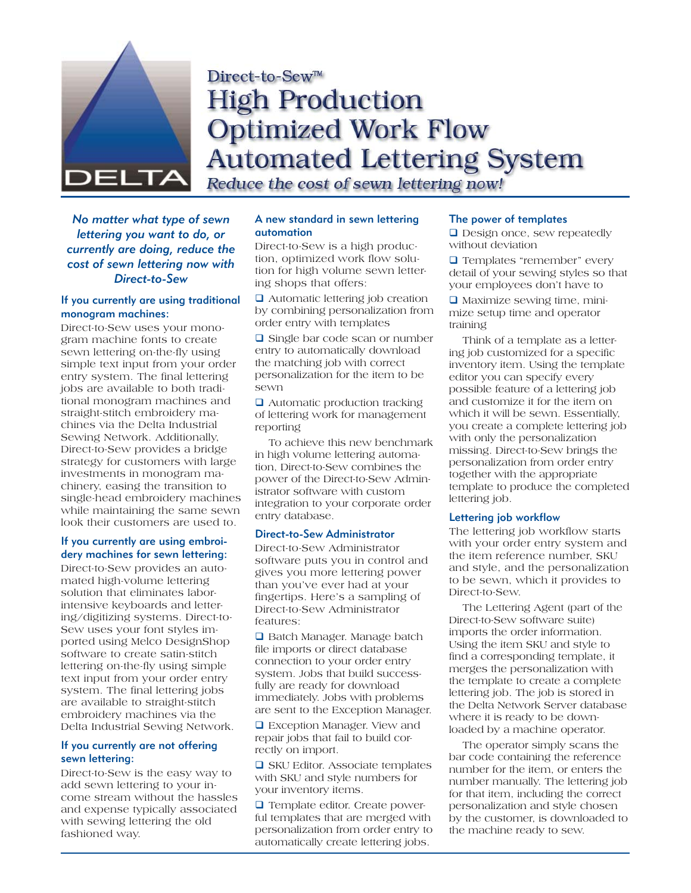

# Direct-to-Sew™ **High Production Optimized Work Flow Automated Lettering System** Reduce the cost of sewn lettering now!

*No matter what type of sewn lettering you want to do, or currently are doing, reduce the cost of sewn lettering now with Direct-to-Sew*

# If you currently are using traditional monogram machines:

Direct-to-Sew uses your monogram machine fonts to create sewn lettering on-the-fly using simple text input from your order entry system. The final lettering jobs are available to both traditional monogram machines and straight-stitch embroidery machines via the Delta Industrial Sewing Network. Additionally, Direct-to-Sew provides a bridge strategy for customers with large investments in monogram machinery, easing the transition to single-head embroidery machines while maintaining the same sewn look their customers are used to.

# If you currently are using embroidery machines for sewn lettering:

Direct-to-Sew provides an automated high-volume lettering solution that eliminates laborintensive keyboards and lettering/digitizing systems. Direct-to-Sew uses your font styles imported using Melco DesignShop software to create satin-stitch lettering on-the-fly using simple text input from your order entry system. The final lettering jobs are available to straight-stitch embroidery machines via the Delta Industrial Sewing Network.

## If you currently are not offering sewn lettering:

Direct-to-Sew is the easy way to add sewn lettering to your income stream without the hassles and expense typically associated with sewing lettering the old fashioned way.

# A new standard in sewn lettering automation

Direct-to-Sew is a high production, optimized work flow solution for high volume sewn lettering shops that offers:

**□** Automatic lettering job creation by combining personalization from order entry with templates

**□** Single bar code scan or number entry to automatically download the matching job with correct personalization for the item to be sewn

 $\Box$  Automatic production tracking of lettering work for management reporting

To achieve this new benchmark in high volume lettering automation, Direct-to-Sew combines the power of the Direct-to-Sew Administrator software with custom integration to your corporate order entry database.

# Direct-to-Sew Administrator

Direct-to-Sew Administrator software puts you in control and gives you more lettering power than you've ever had at your fingertips. Here's a sampling of Direct-to-Sew Administrator features:

**□** Batch Manager. Manage batch file imports or direct database connection to your order entry system. Jobs that build successfully are ready for download immediately. Jobs with problems are sent to the Exception Manager.

**□** Exception Manager. View and repair jobs that fail to build correctly on import.

**□ SKU Editor. Associate templates** with SKU and style numbers for your inventory items.

**Template editor. Create power**ful templates that are merged with personalization from order entry to automatically create lettering jobs.

# The power of templates

Design once, sew repeatedly without deviation

**T** Templates "remember" every detail of your sewing styles so that your employees don't have to

 $\Box$  Maximize sewing time, minimize setup time and operator training

Think of a template as a lettering job customized for a specific inventory item. Using the template editor you can specify every possible feature of a lettering job and customize it for the item on which it will be sewn. Essentially, you create a complete lettering job with only the personalization missing. Direct-to-Sew brings the personalization from order entry together with the appropriate template to produce the completed lettering job.

# Lettering job workflow

The lettering job workflow starts with your order entry system and the item reference number, SKU and style, and the personalization to be sewn, which it provides to Direct-to-Sew.

The Lettering Agent (part of the Direct-to-Sew software suite) imports the order information. Using the item SKU and style to find a corresponding template, it merges the personalization with the template to create a complete lettering job. The job is stored in the Delta Network Server database where it is ready to be downloaded by a machine operator.

The operator simply scans the bar code containing the reference number for the item, or enters the number manually. The lettering job for that item, including the correct personalization and style chosen by the customer, is downloaded to the machine ready to sew.